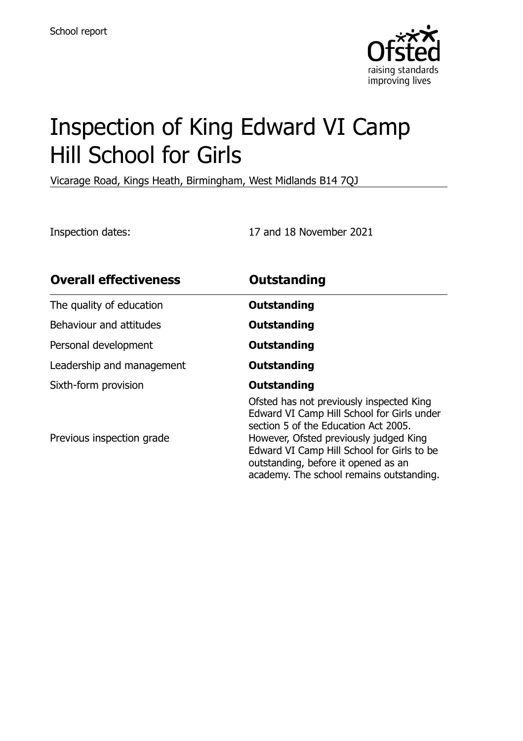

# Inspection of King Edward VI Camp Hill School for Girls

Vicarage Road, Kings Heath, Birmingham, West Midlands B14 7QJ

Inspection dates: 17 and 18 November 2021

| <b>Overall effectiveness</b> | Outstanding                                                                                                                                                                                                                                                                                               |
|------------------------------|-----------------------------------------------------------------------------------------------------------------------------------------------------------------------------------------------------------------------------------------------------------------------------------------------------------|
| The quality of education     | Outstanding                                                                                                                                                                                                                                                                                               |
| Behaviour and attitudes      | Outstanding                                                                                                                                                                                                                                                                                               |
| Personal development         | Outstanding                                                                                                                                                                                                                                                                                               |
| Leadership and management    | Outstanding                                                                                                                                                                                                                                                                                               |
| Sixth-form provision         | Outstanding                                                                                                                                                                                                                                                                                               |
| Previous inspection grade    | Ofsted has not previously inspected King<br>Edward VI Camp Hill School for Girls under<br>section 5 of the Education Act 2005.<br>However, Ofsted previously judged King<br>Edward VI Camp Hill School for Girls to be<br>outstanding, before it opened as an<br>academy. The school remains outstanding. |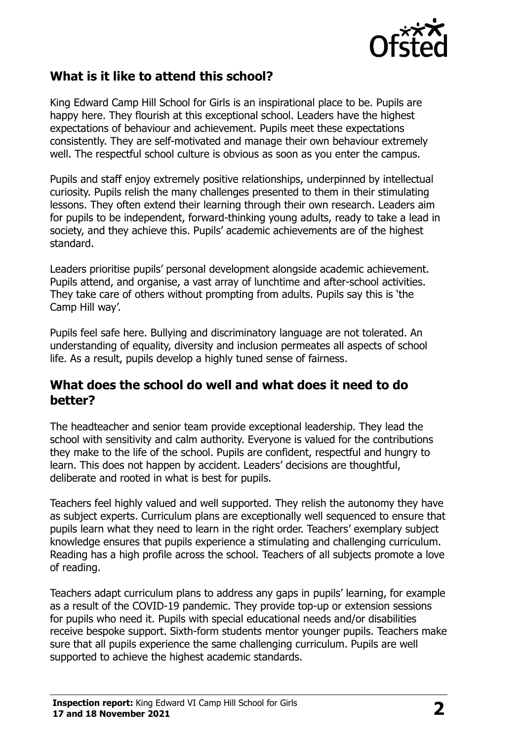

# **What is it like to attend this school?**

King Edward Camp Hill School for Girls is an inspirational place to be. Pupils are happy here. They flourish at this exceptional school. Leaders have the highest expectations of behaviour and achievement. Pupils meet these expectations consistently. They are self-motivated and manage their own behaviour extremely well. The respectful school culture is obvious as soon as you enter the campus.

Pupils and staff enjoy extremely positive relationships, underpinned by intellectual curiosity. Pupils relish the many challenges presented to them in their stimulating lessons. They often extend their learning through their own research. Leaders aim for pupils to be independent, forward-thinking young adults, ready to take a lead in society, and they achieve this. Pupils' academic achievements are of the highest standard.

Leaders prioritise pupils' personal development alongside academic achievement. Pupils attend, and organise, a vast array of lunchtime and after-school activities. They take care of others without prompting from adults. Pupils say this is 'the Camp Hill way'.

Pupils feel safe here. Bullying and discriminatory language are not tolerated. An understanding of equality, diversity and inclusion permeates all aspects of school life. As a result, pupils develop a highly tuned sense of fairness.

#### **What does the school do well and what does it need to do better?**

The headteacher and senior team provide exceptional leadership. They lead the school with sensitivity and calm authority. Everyone is valued for the contributions they make to the life of the school. Pupils are confident, respectful and hungry to learn. This does not happen by accident. Leaders' decisions are thoughtful, deliberate and rooted in what is best for pupils.

Teachers feel highly valued and well supported. They relish the autonomy they have as subject experts. Curriculum plans are exceptionally well sequenced to ensure that pupils learn what they need to learn in the right order. Teachers' exemplary subject knowledge ensures that pupils experience a stimulating and challenging curriculum. Reading has a high profile across the school. Teachers of all subjects promote a love of reading.

Teachers adapt curriculum plans to address any gaps in pupils' learning, for example as a result of the COVID-19 pandemic. They provide top-up or extension sessions for pupils who need it. Pupils with special educational needs and/or disabilities receive bespoke support. Sixth-form students mentor younger pupils. Teachers make sure that all pupils experience the same challenging curriculum. Pupils are well supported to achieve the highest academic standards.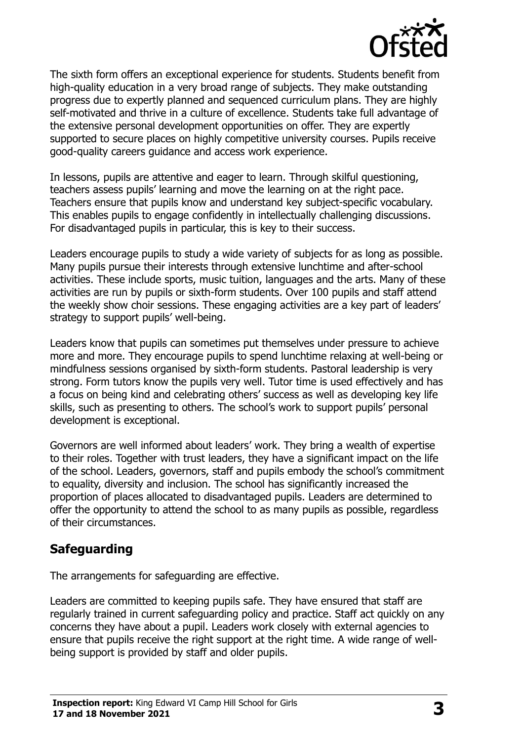

The sixth form offers an exceptional experience for students. Students benefit from high-quality education in a very broad range of subjects. They make outstanding progress due to expertly planned and sequenced curriculum plans. They are highly self-motivated and thrive in a culture of excellence. Students take full advantage of the extensive personal development opportunities on offer. They are expertly supported to secure places on highly competitive university courses. Pupils receive good-quality careers guidance and access work experience.

In lessons, pupils are attentive and eager to learn. Through skilful questioning, teachers assess pupils' learning and move the learning on at the right pace. Teachers ensure that pupils know and understand key subject-specific vocabulary. This enables pupils to engage confidently in intellectually challenging discussions. For disadvantaged pupils in particular, this is key to their success.

Leaders encourage pupils to study a wide variety of subjects for as long as possible. Many pupils pursue their interests through extensive lunchtime and after-school activities. These include sports, music tuition, languages and the arts. Many of these activities are run by pupils or sixth-form students. Over 100 pupils and staff attend the weekly show choir sessions. These engaging activities are a key part of leaders' strategy to support pupils' well-being.

Leaders know that pupils can sometimes put themselves under pressure to achieve more and more. They encourage pupils to spend lunchtime relaxing at well-being or mindfulness sessions organised by sixth-form students. Pastoral leadership is very strong. Form tutors know the pupils very well. Tutor time is used effectively and has a focus on being kind and celebrating others' success as well as developing key life skills, such as presenting to others. The school's work to support pupils' personal development is exceptional.

Governors are well informed about leaders' work. They bring a wealth of expertise to their roles. Together with trust leaders, they have a significant impact on the life of the school. Leaders, governors, staff and pupils embody the school's commitment to equality, diversity and inclusion. The school has significantly increased the proportion of places allocated to disadvantaged pupils. Leaders are determined to offer the opportunity to attend the school to as many pupils as possible, regardless of their circumstances.

# **Safeguarding**

The arrangements for safeguarding are effective.

Leaders are committed to keeping pupils safe. They have ensured that staff are regularly trained in current safeguarding policy and practice. Staff act quickly on any concerns they have about a pupil. Leaders work closely with external agencies to ensure that pupils receive the right support at the right time. A wide range of wellbeing support is provided by staff and older pupils.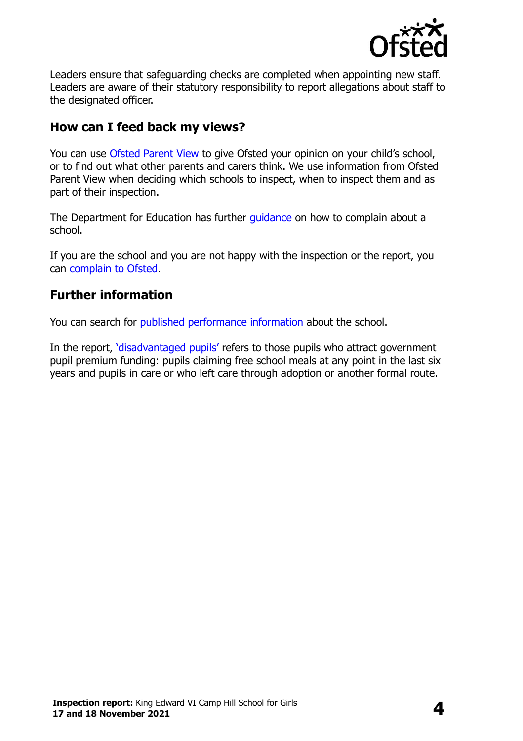

Leaders ensure that safeguarding checks are completed when appointing new staff. Leaders are aware of their statutory responsibility to report allegations about staff to the designated officer.

# **How can I feed back my views?**

You can use [Ofsted Parent View](http://parentview.ofsted.gov.uk/) to give Ofsted your opinion on your child's school, or to find out what other parents and carers think. We use information from Ofsted Parent View when deciding which schools to inspect, when to inspect them and as part of their inspection.

The Department for Education has further quidance on how to complain about a school.

If you are the school and you are not happy with the inspection or the report, you can [complain to Ofsted.](http://www.gov.uk/complain-ofsted-report)

### **Further information**

You can search for [published performance information](http://www.compare-school-performance.service.gov.uk/) about the school.

In the report, '[disadvantaged pupils](http://www.gov.uk/guidance/pupil-premium-information-for-schools-and-alternative-provision-settings)' refers to those pupils who attract government pupil premium funding: pupils claiming free school meals at any point in the last six years and pupils in care or who left care through adoption or another formal route.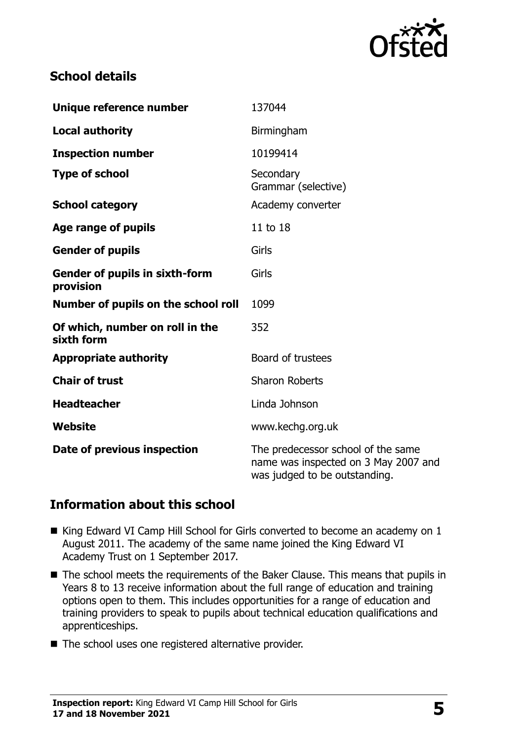

# **School details**

| Unique reference number                            | 137044                                                                                                      |  |
|----------------------------------------------------|-------------------------------------------------------------------------------------------------------------|--|
| <b>Local authority</b>                             | Birmingham                                                                                                  |  |
| <b>Inspection number</b>                           | 10199414                                                                                                    |  |
| <b>Type of school</b>                              | Secondary<br>Grammar (selective)                                                                            |  |
| <b>School category</b>                             | Academy converter                                                                                           |  |
| Age range of pupils                                | 11 to 18                                                                                                    |  |
| <b>Gender of pupils</b>                            | Girls                                                                                                       |  |
| <b>Gender of pupils in sixth-form</b><br>provision | Girls                                                                                                       |  |
| Number of pupils on the school roll                | 1099                                                                                                        |  |
| Of which, number on roll in the<br>sixth form      | 352                                                                                                         |  |
| <b>Appropriate authority</b>                       | Board of trustees                                                                                           |  |
| <b>Chair of trust</b>                              | <b>Sharon Roberts</b>                                                                                       |  |
| <b>Headteacher</b>                                 | Linda Johnson                                                                                               |  |
| Website                                            | www.kechg.org.uk                                                                                            |  |
| Date of previous inspection                        | The predecessor school of the same<br>name was inspected on 3 May 2007 and<br>was judged to be outstanding. |  |

# **Information about this school**

- King Edward VI Camp Hill School for Girls converted to become an academy on 1 August 2011. The academy of the same name joined the King Edward VI Academy Trust on 1 September 2017.
- The school meets the requirements of the Baker Clause. This means that pupils in Years 8 to 13 receive information about the full range of education and training options open to them. This includes opportunities for a range of education and training providers to speak to pupils about technical education qualifications and apprenticeships.
- The school uses one registered alternative provider.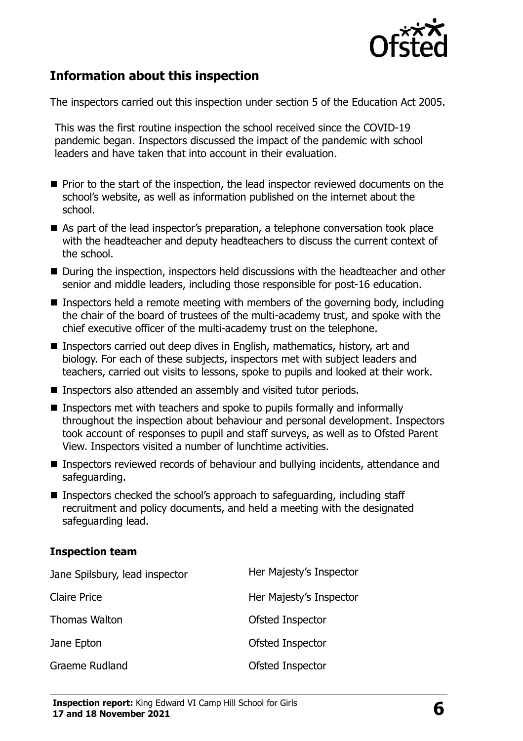

# **Information about this inspection**

The inspectors carried out this inspection under section 5 of the Education Act 2005.

This was the first routine inspection the school received since the COVID-19 pandemic began. Inspectors discussed the impact of the pandemic with school leaders and have taken that into account in their evaluation.

- Prior to the start of the inspection, the lead inspector reviewed documents on the school's website, as well as information published on the internet about the school.
- As part of the lead inspector's preparation, a telephone conversation took place with the headteacher and deputy headteachers to discuss the current context of the school.
- During the inspection, inspectors held discussions with the headteacher and other senior and middle leaders, including those responsible for post-16 education.
- Inspectors held a remote meeting with members of the governing body, including the chair of the board of trustees of the multi-academy trust, and spoke with the chief executive officer of the multi-academy trust on the telephone.
- Inspectors carried out deep dives in English, mathematics, history, art and biology. For each of these subjects, inspectors met with subject leaders and teachers, carried out visits to lessons, spoke to pupils and looked at their work.
- Inspectors also attended an assembly and visited tutor periods.
- Inspectors met with teachers and spoke to pupils formally and informally throughout the inspection about behaviour and personal development. Inspectors took account of responses to pupil and staff surveys, as well as to Ofsted Parent View. Inspectors visited a number of lunchtime activities.
- Inspectors reviewed records of behaviour and bullying incidents, attendance and safeguarding.
- Inspectors checked the school's approach to safeguarding, including staff recruitment and policy documents, and held a meeting with the designated safeguarding lead.

#### **Inspection team**

| Jane Spilsbury, lead inspector | Her Majesty's Inspector |
|--------------------------------|-------------------------|
| <b>Claire Price</b>            | Her Majesty's Inspector |
| <b>Thomas Walton</b>           | Ofsted Inspector        |
| Jane Epton                     | Ofsted Inspector        |
| Graeme Rudland                 | Ofsted Inspector        |